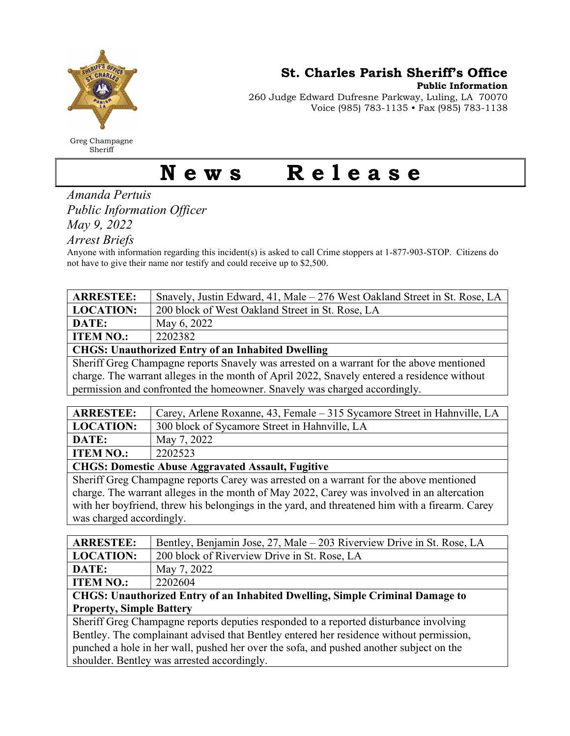

Greg Champagne Sheriff

St. Charles Parish Sheriff's Office

Public Information

260 Judge Edward Dufresne Parkway, Luling, LA 70070 Voice (985) 783-1135 • Fax (985) 783-1138

## News Release

Amanda Pertuis Public Information Officer

May 9, 2022

Arrest Briefs

Anyone with information regarding this incident(s) is asked to call Crime stoppers at 1-877-903-STOP. Citizens do not have to give their name nor testify and could receive up to \$2,500.

| <b>ARRESTEE:</b> | Snavely, Justin Edward, 41, Male – 276 West Oakland Street in St. Rose, LA |
|------------------|----------------------------------------------------------------------------|
| LOCATION:        | 200 block of West Oakland Street in St. Rose, LA                           |
| DATE:            | May 6, 2022                                                                |
| <b>ITEM NO.:</b> | 2202382                                                                    |
| -------          | $\sim$                                                                     |

CHGS: Unauthorized Entry of an Inhabited Dwelling

Sheriff Greg Champagne reports Snavely was arrested on a warrant for the above mentioned charge. The warrant alleges in the month of April 2022, Snavely entered a residence without permission and confronted the homeowner. Snavely was charged accordingly.

| <b>ARRESTEE:</b> | Carey, Arlene Roxanne, 43, Female – 315 Sycamore Street in Hahnville, LA |  |
|------------------|--------------------------------------------------------------------------|--|
| <b>LOCATION:</b> | 300 block of Sycamore Street in Hahnville, LA                            |  |
| DATE:            | May 7, 2022                                                              |  |
| <b>ITEM NO.:</b> | 2202523                                                                  |  |
|                  |                                                                          |  |

CHGS: Domestic Abuse Aggravated Assault, Fugitive

Sheriff Greg Champagne reports Carey was arrested on a warrant for the above mentioned charge. The warrant alleges in the month of May 2022, Carey was involved in an altercation with her boyfriend, threw his belongings in the yard, and threatened him with a firearm. Carey was charged accordingly.

| <b>ARRESTEE:</b>                                                                        | Bentley, Benjamin Jose, 27, Male – 203 Riverview Drive in St. Rose, LA |  |
|-----------------------------------------------------------------------------------------|------------------------------------------------------------------------|--|
| <b>LOCATION:</b>                                                                        | 200 block of Riverview Drive in St. Rose, LA                           |  |
| DATE:                                                                                   | May 7, 2022                                                            |  |
| <b>ITEM NO.:</b>                                                                        | 2202604                                                                |  |
| CHGS: Unauthorized Entry of an Inhabited Dwelling, Simple Criminal Damage to            |                                                                        |  |
| <b>Property, Simple Battery</b>                                                         |                                                                        |  |
| Sheriff Greg Champagne reports deputies responded to a reported disturbance involving   |                                                                        |  |
| Bentley. The complainant advised that Bentley entered her residence without permission, |                                                                        |  |
| punched a hole in her wall, pushed her over the sofa, and pushed another subject on the |                                                                        |  |
| shoulder. Bentley was arrested accordingly.                                             |                                                                        |  |